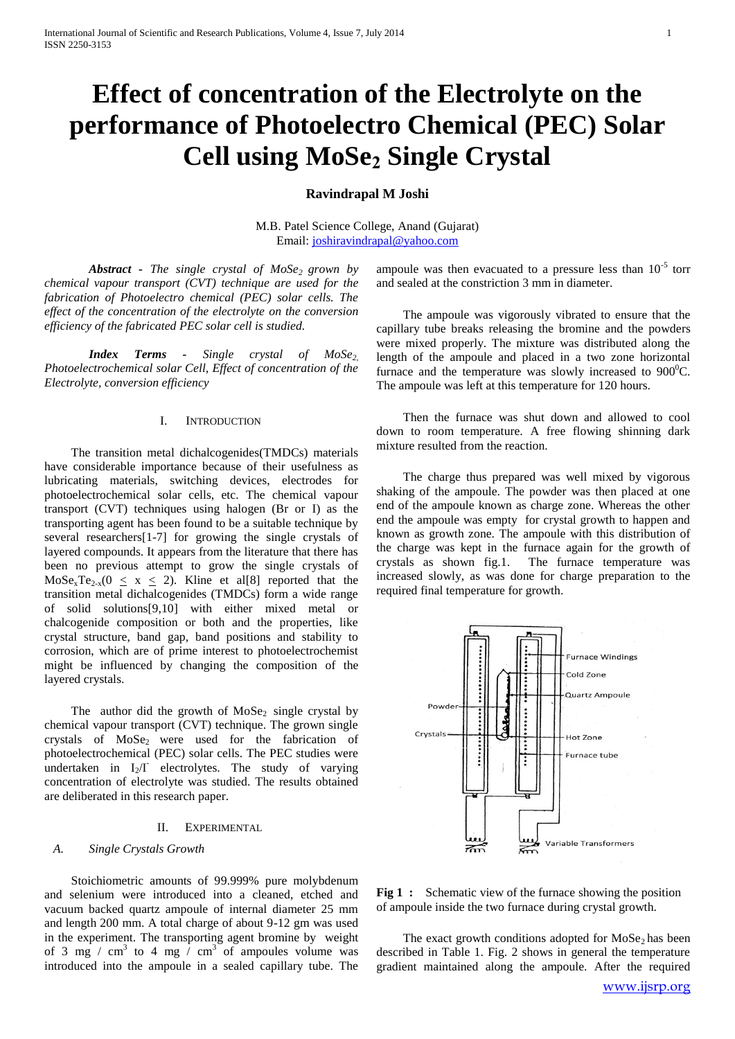# **Effect of concentration of the Electrolyte on the performance of Photoelectro Chemical (PEC) Solar Cell using MoSe<sup>2</sup> Single Crystal**

# **Ravindrapal M Joshi**

M.B. Patel Science College, Anand (Gujarat) Email: [joshiravindrapal@yahoo.com](mailto:joshiravindrapal@yahoo.com)

*Abstract - The single crystal of MoSe<sup>2</sup> grown by chemical vapour transport (CVT) technique are used for the fabrication of Photoelectro chemical (PEC) solar cells. The effect of the concentration of the electrolyte on the conversion efficiency of the fabricated PEC solar cell is studied.*

*Index Terms - Single crystal of MoSe<sub>2</sub> Photoelectrochemical solar Cell, Effect of concentration of the Electrolyte, conversion efficiency*

# I. INTRODUCTION

The transition metal dichalcogenides(TMDCs) materials have considerable importance because of their usefulness as lubricating materials, switching devices, electrodes for photoelectrochemical solar cells, etc. The chemical vapour transport (CVT) techniques using halogen (Br or I) as the transporting agent has been found to be a suitable technique by several researchers[1-7] for growing the single crystals of layered compounds. It appears from the literature that there has been no previous attempt to grow the single crystals of  $MoSe<sub>x</sub>Te<sub>2-x</sub>(0 \le x \le 2)$ . Kline et al[8] reported that the transition metal dichalcogenides (TMDCs) form a wide range of solid solutions[9,10] with either mixed metal or chalcogenide composition or both and the properties, like crystal structure, band gap, band positions and stability to corrosion, which are of prime interest to photoelectrochemist might be influenced by changing the composition of the layered crystals.

The author did the growth of  $MoSe<sub>2</sub>$  single crystal by chemical vapour transport (CVT) technique. The grown single crystals of  $MoSe<sub>2</sub>$  were used for the fabrication of photoelectrochemical (PEC) solar cells. The PEC studies were undertaken in  $I_2/I$  electrolytes. The study of varying concentration of electrolyte was studied. The results obtained are deliberated in this research paper.

# II. EXPERIMENTAL

## *A. Single Crystals Growth*

Stoichiometric amounts of 99.999% pure molybdenum and selenium were introduced into a cleaned, etched and vacuum backed quartz ampoule of internal diameter 25 mm and length 200 mm. A total charge of about 9-12 gm was used in the experiment. The transporting agent bromine by weight of 3 mg / cm<sup>3</sup> to 4 mg / cm<sup>3</sup> of ampoules volume was introduced into the ampoule in a sealed capillary tube. The

ampoule was then evacuated to a pressure less than  $10^{-5}$  torr and sealed at the constriction 3 mm in diameter.

The ampoule was vigorously vibrated to ensure that the capillary tube breaks releasing the bromine and the powders were mixed properly. The mixture was distributed along the length of the ampoule and placed in a two zone horizontal furnace and the temperature was slowly increased to  $900^{\circ}$ C. The ampoule was left at this temperature for 120 hours.

Then the furnace was shut down and allowed to cool down to room temperature. A free flowing shinning dark mixture resulted from the reaction.

The charge thus prepared was well mixed by vigorous shaking of the ampoule. The powder was then placed at one end of the ampoule known as charge zone. Whereas the other end the ampoule was empty for crystal growth to happen and known as growth zone. The ampoule with this distribution of the charge was kept in the furnace again for the growth of crystals as shown fig.1. The furnace temperature was increased slowly, as was done for charge preparation to the required final temperature for growth.



**Fig 1** : Schematic view of the furnace showing the position of ampoule inside the two furnace during crystal growth.

The exact growth conditions adopted for  $MoSe<sub>2</sub>$  has been described in Table 1. Fig. 2 shows in general the temperature gradient maintained along the ampoule. After the required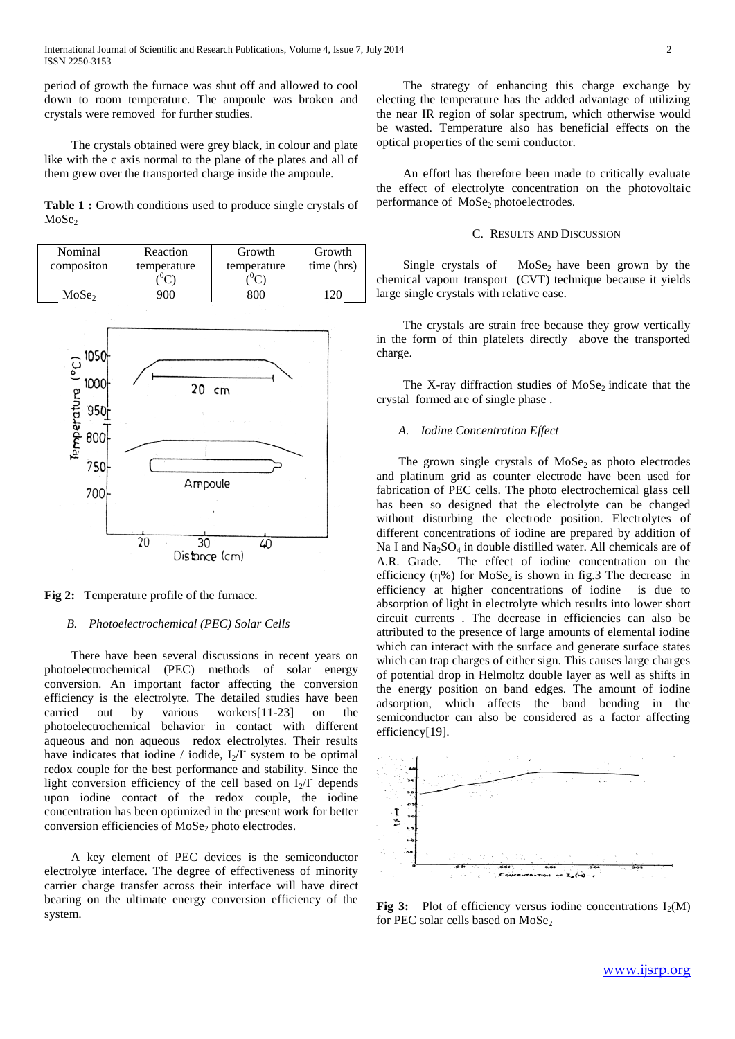period of growth the furnace was shut off and allowed to cool down to room temperature. The ampoule was broken and crystals were removed for further studies.

The crystals obtained were grey black, in colour and plate like with the c axis normal to the plane of the plates and all of them grew over the transported charge inside the ampoule.

**Table 1 :** Growth conditions used to produce single crystals of  $MoSe<sub>2</sub>$ 

| Nominal           | Reaction    | Growth      | Growth     |
|-------------------|-------------|-------------|------------|
| compositon        | temperature | temperature | time (hrs) |
|                   |             |             |            |
| MoSe <sub>2</sub> | 200         | 800         |            |



**Fig 2:** Temperature profile of the furnace.

# *B. Photoelectrochemical (PEC) Solar Cells*

There have been several discussions in recent years on photoelectrochemical (PEC) methods of solar energy conversion. An important factor affecting the conversion efficiency is the electrolyte. The detailed studies have been carried out by various workers[11-23] on the photoelectrochemical behavior in contact with different aqueous and non aqueous redox electrolytes. Their results have indicates that iodine / iodide,  $I_2/I$  system to be optimal redox couple for the best performance and stability. Since the light conversion efficiency of the cell based on  $I_2/I$  depends upon iodine contact of the redox couple, the iodine concentration has been optimized in the present work for better conversion efficiencies of MoSe<sub>2</sub> photo electrodes.

A key element of PEC devices is the semiconductor electrolyte interface. The degree of effectiveness of minority carrier charge transfer across their interface will have direct bearing on the ultimate energy conversion efficiency of the system.

The strategy of enhancing this charge exchange by electing the temperature has the added advantage of utilizing the near IR region of solar spectrum, which otherwise would be wasted. Temperature also has beneficial effects on the optical properties of the semi conductor.

An effort has therefore been made to critically evaluate the effect of electrolyte concentration on the photovoltaic performance of MoSe<sub>2</sub> photoelectrodes.

# C. RESULTS AND DISCUSSION

Single crystals of  $MoSe<sub>2</sub>$  have been grown by the chemical vapour transport (CVT) technique because it yields large single crystals with relative ease.

The crystals are strain free because they grow vertically in the form of thin platelets directly above the transported charge.

The X-ray diffraction studies of  $MoSe<sub>2</sub>$  indicate that the crystal formed are of single phase .

## *A. Iodine Concentration Effect*

The grown single crystals of  $MoSe<sub>2</sub>$  as photo electrodes and platinum grid as counter electrode have been used for fabrication of PEC cells. The photo electrochemical glass cell has been so designed that the electrolyte can be changed without disturbing the electrode position. Electrolytes of different concentrations of iodine are prepared by addition of Na I and  $Na<sub>2</sub>SO<sub>4</sub>$  in double distilled water. All chemicals are of A.R. Grade. The effect of iodine concentration on the efficiency (η%) for MoSe<sub>2</sub> is shown in fig.3 The decrease in efficiency at higher concentrations of iodine is due to absorption of light in electrolyte which results into lower short circuit currents . The decrease in efficiencies can also be attributed to the presence of large amounts of elemental iodine which can interact with the surface and generate surface states which can trap charges of either sign. This causes large charges of potential drop in Helmoltz double layer as well as shifts in the energy position on band edges. The amount of iodine adsorption, which affects the band bending in the semiconductor can also be considered as a factor affecting efficiency[19].



**Fig 3:** Plot of efficiency versus iodine concentrations  $I_2(M)$ for PEC solar cells based on  $MoSe<sub>2</sub>$